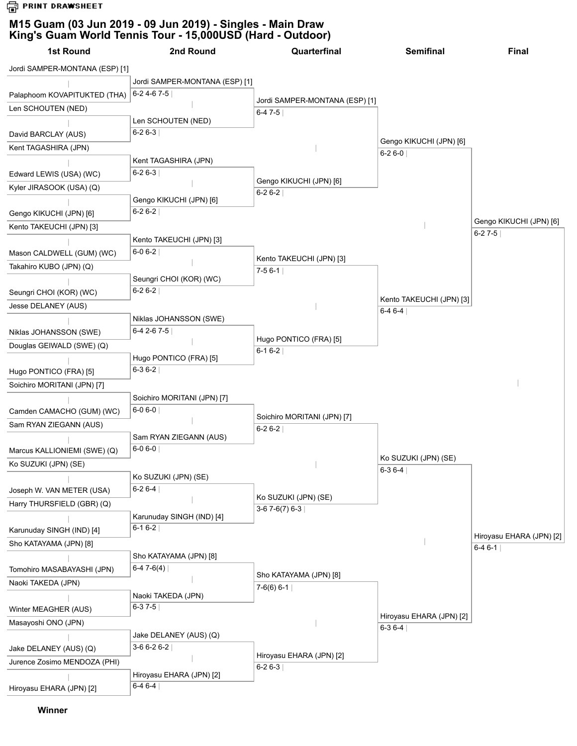**G** PRINT DRAWSHEET

## **M15 Guam (03 Jun 2019 - 09 Jun 2019) - Singles - Main Draw King's Guam World Tennis Tour - 15,000USD (Hard - Outdoor)**

| 1st Round                      | 2nd Round                                   | Quarterfinal                               | <b>Semifinal</b>                     | Final                    |
|--------------------------------|---------------------------------------------|--------------------------------------------|--------------------------------------|--------------------------|
| Jordi SAMPER-MONTANA (ESP) [1] |                                             |                                            |                                      |                          |
|                                | Jordi SAMPER-MONTANA (ESP) [1]              |                                            |                                      |                          |
| Palaphoom KOVAPITUKTED (THA)   | $6 - 24 - 67 - 5$                           |                                            |                                      |                          |
| Len SCHOUTEN (NED)             |                                             | Jordi SAMPER-MONTANA (ESP) [1]<br>$6-47-5$ |                                      |                          |
|                                | Len SCHOUTEN (NED)                          |                                            |                                      |                          |
| David BARCLAY (AUS)            | $6 - 26 - 3$                                |                                            |                                      |                          |
| Kent TAGASHIRA (JPN)           |                                             |                                            | Gengo KIKUCHI (JPN) [6]<br>$6-26-0$  |                          |
|                                | Kent TAGASHIRA (JPN)                        |                                            |                                      |                          |
| Edward LEWIS (USA) (WC)        | $6-26-3$                                    | Gengo KIKUCHI (JPN) [6]                    |                                      |                          |
| Kyler JIRASOOK (USA) (Q)       |                                             | $6-26-2$                                   |                                      |                          |
|                                | Gengo KIKUCHI (JPN) [6]                     |                                            |                                      |                          |
| Gengo KIKUCHI (JPN) [6]        | $6 - 26 - 2$                                |                                            |                                      | Gengo KIKUCHI (JPN) [6]  |
| Kento TAKEUCHI (JPN) [3]       |                                             |                                            |                                      | $6-27-5$                 |
|                                | Kento TAKEUCHI (JPN) [3]                    |                                            |                                      |                          |
| Mason CALDWELL (GUM) (WC)      | $6 - 0 6 - 2$                               | Kento TAKEUCHI (JPN) [3]                   |                                      |                          |
| Takahiro KUBO (JPN) (Q)        |                                             | $7-56-1$                                   |                                      |                          |
|                                | Seungri CHOI (KOR) (WC)                     |                                            |                                      |                          |
| Seungri CHOI (KOR) (WC)        | $6 - 26 - 2$                                |                                            | Kento TAKEUCHI (JPN) [3]             |                          |
| Jesse DELANEY (AUS)            |                                             |                                            | $6-46-4$                             |                          |
|                                | Niklas JOHANSSON (SWE)                      |                                            |                                      |                          |
| Niklas JOHANSSON (SWE)         | 6-4 2-6 7-5 $ $                             | Hugo PONTICO (FRA) [5]                     |                                      |                          |
| Douglas GEIWALD (SWE) (Q)      |                                             | $6-16-2$                                   |                                      |                          |
|                                | Hugo PONTICO (FRA) [5]<br>6-3 6-2           |                                            |                                      |                          |
| Hugo PONTICO (FRA) [5]         |                                             |                                            |                                      |                          |
| Soichiro MORITANI (JPN) [7]    |                                             |                                            |                                      |                          |
|                                | Soichiro MORITANI (JPN) [7]<br>$6 - 06 - 0$ |                                            |                                      |                          |
| Camden CAMACHO (GUM) (WC)      |                                             | Soichiro MORITANI (JPN) [7]                |                                      |                          |
| Sam RYAN ZIEGANN (AUS)         | Sam RYAN ZIEGANN (AUS)                      | $6-26-2$                                   |                                      |                          |
| Marcus KALLIONIEMI (SWE) (Q)   | $6 - 06 - 0$                                |                                            |                                      |                          |
| Ko SUZUKI (JPN) (SE)           |                                             |                                            | Ko SUZUKI (JPN) (SE)                 |                          |
|                                | Ko SUZUKI (JPN) (SE)                        |                                            | $6-36-4$                             |                          |
| Joseph W. VAN METER (USA)      | $6-26-4$                                    |                                            |                                      |                          |
| Harry THURSFIELD (GBR) (Q)     |                                             | Ko SUZUKI (JPN) (SE)                       |                                      |                          |
|                                | Karunuday SINGH (IND) [4]                   | $3-67-6(7)6-3$                             |                                      |                          |
| Karunuday SINGH (IND) [4]      | $6-16-2$                                    |                                            |                                      |                          |
| Sho KATAYAMA (JPN) [8]         |                                             |                                            |                                      | Hiroyasu EHARA (JPN) [2] |
|                                | Sho KATAYAMA (JPN) [8]                      |                                            |                                      | 6-4 6-1                  |
| Tomohiro MASABAYASHI (JPN)     | $6-47-6(4)$                                 |                                            |                                      |                          |
| Naoki TAKEDA (JPN)             |                                             | Sho KATAYAMA (JPN) [8]<br>$7-6(6) 6-1$     |                                      |                          |
|                                | Naoki TAKEDA (JPN)                          |                                            |                                      |                          |
| Winter MEAGHER (AUS)           | $6-37-5$                                    |                                            |                                      |                          |
| Masayoshi ONO (JPN)            |                                             |                                            | Hiroyasu EHARA (JPN) [2]<br>$6-36-4$ |                          |
|                                | Jake DELANEY (AUS) (Q)                      |                                            |                                      |                          |
| Jake DELANEY (AUS) (Q)         | 3-6 6-2 6-2 $ $                             |                                            |                                      |                          |
| Jurence Zosimo MENDOZA (PHI)   |                                             | Hiroyasu EHARA (JPN) [2]<br>6-2 6-3        |                                      |                          |
|                                | Hiroyasu EHARA (JPN) [2]                    |                                            |                                      |                          |
| Hiroyasu EHARA (JPN) [2]       | $6-46-4$                                    |                                            |                                      |                          |

**Winner**